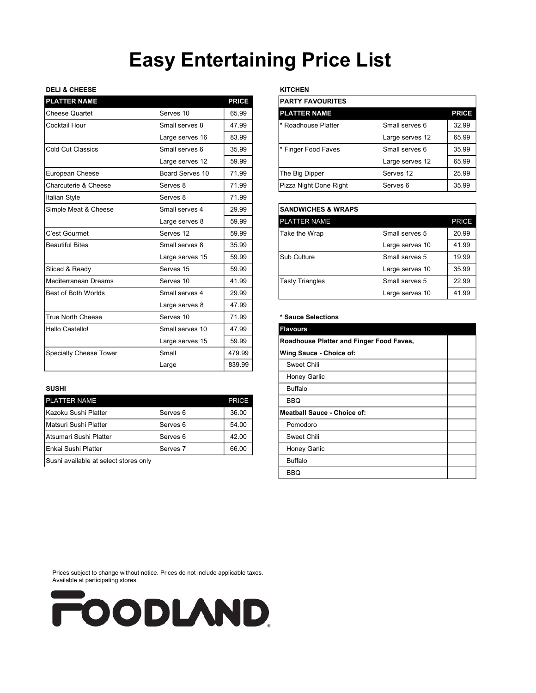# Easy Entertaining Price List

## DELI & CHEESE KITCHEN

| <b>PLATTER NAME</b>           |                 | <b>PRICE</b> | <b>PARTY FAVOURITES</b>                  |                     |              |
|-------------------------------|-----------------|--------------|------------------------------------------|---------------------|--------------|
| <b>Cheese Quartet</b>         | Serves 10       | 65.99        | <b>PLATTER NAME</b>                      |                     | <b>PRICE</b> |
| Cocktail Hour                 | Small serves 8  | 47.99        | * Roadhouse Platter                      | Small serves 6      | 32.99        |
|                               | Large serves 16 | 83.99        |                                          | Large serves 12     | 65.99        |
| Cold Cut Classics             | Small serves 6  | 35.99        | * Finger Food Faves                      | Small serves 6      | 35.99        |
|                               | Large serves 12 | 59.99        |                                          | Large serves 12     | 65.99        |
| European Cheese               | Board Serves 10 | 71.99        | The Big Dipper                           | Serves 12           | 25.99        |
| Charcuterie & Cheese          | Serves 8        | 71.99        | Pizza Night Done Right                   | Serves <sub>6</sub> | 35.99        |
| Italian Style                 | Serves 8        | 71.99        |                                          |                     |              |
| Simple Meat & Cheese          | Small serves 4  | 29.99        | <b>SANDWICHES &amp; WRAPS</b>            |                     |              |
|                               | Large serves 8  | 59.99        | <b>PLATTER NAME</b>                      |                     | <b>PRICE</b> |
| C'est Gourmet                 | Serves 12       | 59.99        | Take the Wrap                            | Small serves 5      | 20.99        |
| <b>Beautiful Bites</b>        | Small serves 8  | 35.99        |                                          | Large serves 10     | 41.99        |
|                               | Large serves 15 | 59.99        | Sub Culture                              | Small serves 5      | 19.99        |
| Sliced & Ready                | Serves 15       | 59.99        |                                          | Large serves 10     | 35.99        |
| Mediterranean Dreams          | Serves 10       | 41.99        | <b>Tasty Triangles</b>                   | Small serves 5      | 22.99        |
| <b>Best of Both Worlds</b>    | Small serves 4  | 29.99        |                                          | Large serves 10     | 41.99        |
|                               | Large serves 8  | 47.99        |                                          |                     |              |
| <b>True North Cheese</b>      | Serves 10       | 71.99        | * Sauce Selections                       |                     |              |
| Hello Castello!               | Small serves 10 | 47.99        | <b>Flavours</b>                          |                     |              |
|                               | Large serves 15 | 59.99        | Roadhouse Platter and Finger Food Faves, |                     |              |
| <b>Specialty Cheese Tower</b> | Small           | 479.99       | Wing Sauce - Choice of:                  |                     |              |
|                               | Large           | 839.99       | Sweet Chili                              |                     |              |
|                               |                 |              |                                          |                     |              |

| <b>PLATTER NAME</b>           |                     | PRICE |
|-------------------------------|---------------------|-------|
| Kazoku Sushi Platter          | Serves 6            | 36.00 |
| <b>IMatsuri Sushi Platter</b> | Serves 6            | 54.00 |
| Atsumari Sushi Platter        | Serves 6            | 42.00 |
| IEnkai Sushi Platter          | Serves <sub>7</sub> | 66.00 |

|                 | <b>PRICE</b> | <b>PARTY FAVOURITES</b> |                 |              |
|-----------------|--------------|-------------------------|-----------------|--------------|
| Serves 10       | 65.99        | <b>PLATTER NAME</b>     |                 | <b>PRICE</b> |
| Small serves 8  | 47.99        | Roadhouse Platter       | Small serves 6  | 32.99        |
| Large serves 16 | 83.99        |                         | Large serves 12 | 65.99        |
| Small serves 6  | 35.99        | * Finger Food Faves     | Small serves 6  | 35.99        |
| Large serves 12 | 59.99        |                         | Large serves 12 | 65.99        |
| Board Serves 10 | 71.99        | The Big Dipper          | Serves 12       | 25.99        |
| Serves 8        | 71.99        | Pizza Night Done Right  | Serves 6        | 35.99        |
|                 |              |                         |                 |              |

| 29.99 | <b>SANDWICHES &amp; WRAPS</b> |                 |              |
|-------|-------------------------------|-----------------|--------------|
| 59.99 | <b>PLATTER NAME</b>           |                 | <b>PRICE</b> |
| 59.99 | Take the Wrap                 | Small serves 5  | 20.99        |
| 35.99 |                               | Large serves 10 | 41.99        |
| 59.99 | Sub Culture                   | Small serves 5  | 19.99        |
| 59.99 |                               | Large serves 10 | 35.99        |
| 41.99 | Tasty Triangles               | Small serves 5  | 22.99        |
| 29.99 |                               | Large serves 10 | 41.99        |
|       |                               |                 |              |

### \* Sauce Selections

|                                       | Small serves 10     | 47.99        | <b>Flavours</b>                          |  |
|---------------------------------------|---------------------|--------------|------------------------------------------|--|
|                                       | Large serves 15     | 59.99        | Roadhouse Platter and Finger Food Faves, |  |
| <b>Specialty Cheese Tower</b>         | Small               | 479.99       | Wing Sauce - Choice of:                  |  |
|                                       | Large               | 839.99       | Sweet Chili                              |  |
|                                       |                     |              | Honey Garlic                             |  |
| SUSHI                                 |                     |              | <b>Buffalo</b>                           |  |
| <b>PLATTER NAME</b>                   |                     | <b>PRICE</b> | <b>BBQ</b>                               |  |
| Kazoku Sushi Platter                  | Serves <sub>6</sub> | 36.00        | <b>Meatball Sauce - Choice of:</b>       |  |
| Matsuri Sushi Platter                 | Serves 6            | 54.00        | Pomodoro                                 |  |
| Atsumari Sushi Platter                | Serves 6            | 42.00        | Sweet Chili                              |  |
| Enkai Sushi Platter                   | Serves <sub>7</sub> | 66.00        | Honey Garlic                             |  |
| Sushi available at select stores only |                     |              | <b>Buffalo</b>                           |  |
|                                       |                     |              | <b>BBQ</b>                               |  |

Prices subject to change without notice. Prices do not include applicable taxes. Available at participating stores.